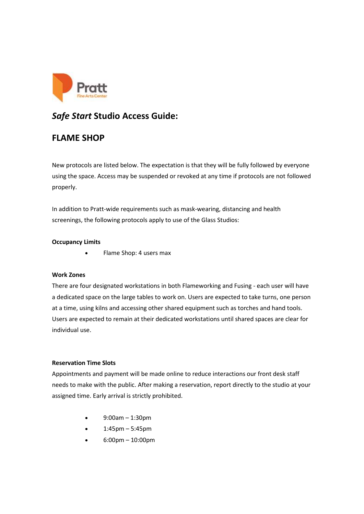

# *Safe Start* **Studio Access Guide:**

## **FLAME SHOP**

New protocols are listed below. The expectation is that they will be fully followed by everyone using the space. Access may be suspended or revoked at any time if protocols are not followed properly.

In addition to Pratt-wide requirements such as mask-wearing, distancing and health screenings, the following protocols apply to use of the Glass Studios:

## **Occupancy Limits**

• Flame Shop: 4 users max

## **Work Zones**

There are four designated workstations in both Flameworking and Fusing - each user will have a dedicated space on the large tables to work on. Users are expected to take turns, one person at a time, using kilns and accessing other shared equipment such as torches and hand tools. Users are expected to remain at their dedicated workstations until shared spaces are clear for individual use.

## **Reservation Time Slots**

Appointments and payment will be made online to reduce interactions our front desk staff needs to make with the public. After making a reservation, report directly to the studio at your assigned time. Early arrival is strictly prohibited.

- 9:00am 1:30pm
- 1:45pm 5:45pm
- 6:00pm 10:00pm